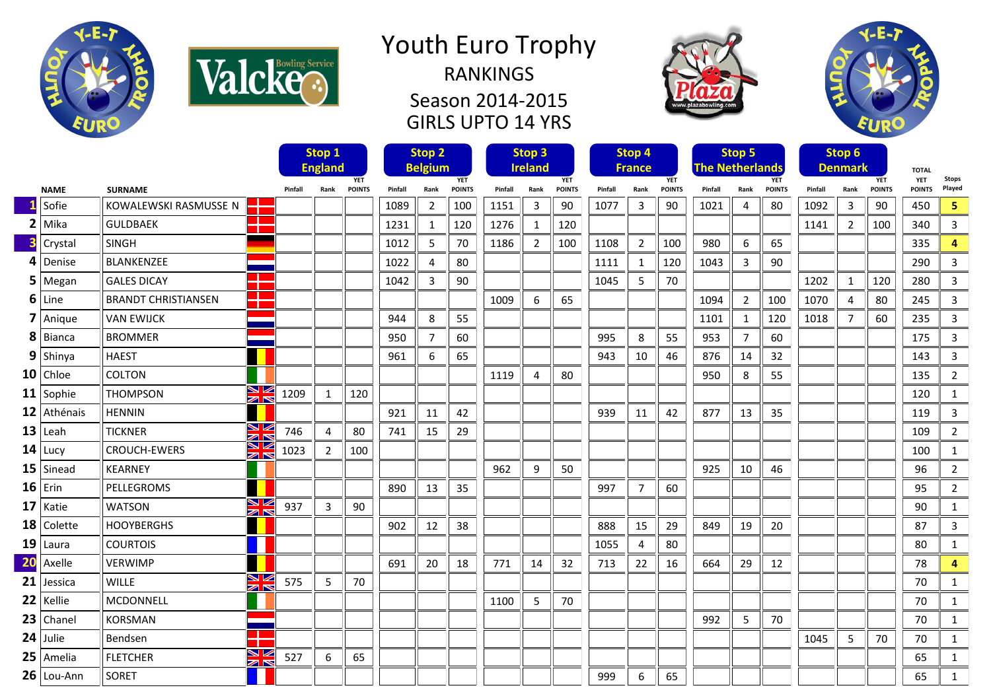

Valcke<sup>s</sup>



Season 2014-2015 GIRLS UPTO 14 YRS





|    |               |                                       |                               |                | Stop 1         |               | Stop 2  |                |               | Stop 3  |                |               | Stop 4  |               |               | Stop 5                               |                |               | Stop 6  |                |               |                            |                |
|----|---------------|---------------------------------------|-------------------------------|----------------|----------------|---------------|---------|----------------|---------------|---------|----------------|---------------|---------|---------------|---------------|--------------------------------------|----------------|---------------|---------|----------------|---------------|----------------------------|----------------|
|    |               |                                       |                               | <b>England</b> |                | <b>YET</b>    |         | <b>Belgium</b> | <b>YET</b>    |         | <b>Ireland</b> | <b>YET</b>    |         | <b>France</b> | <b>YET</b>    | <b>The Netherlands</b><br><b>YET</b> |                |               |         | <b>Denmark</b> | <b>YET</b>    | <b>TOTAL</b><br><b>YET</b> | <b>Stops</b>   |
|    | <b>NAME</b>   | <b>SURNAME</b>                        |                               | Pinfall        | Rank           | <b>POINTS</b> | Pinfall | Rank           | <b>POINTS</b> | Pinfall | Rank           | <b>POINTS</b> | Pinfall | Rank          | <b>POINTS</b> | Pinfall                              | Rank           | <b>POINTS</b> | Pinfall | Rank           | <b>POINTS</b> | <b>POINTS</b>              | Played         |
|    | Sofie         | ÷<br>KOWALEWSKI RASMUSSE N            |                               |                |                |               | 1089    | $\overline{2}$ | 100           | 1151    | 3              | 90            | 1077    | 3             | 90            | 1021                                 | $\overline{4}$ | 80            | 1092    | $\overline{3}$ | 90            | 450                        | 5              |
|    | $2$ Mika      | a pr<br><b>GULDBAEK</b><br>т          |                               |                |                |               | 1231    | 1              | 120           | 1276    | 1              | 120           |         |               |               |                                      |                |               | 1141    | $\overline{2}$ | 100           | 340                        | $\overline{3}$ |
|    | Crystal       | <b>SINGH</b>                          |                               |                |                |               | 1012    | 5              | 70            | 1186    | $\overline{2}$ | 100           | 1108    | 2             | 100           | 980                                  | 6              | 65            |         |                |               | 335                        | 4              |
|    | $4$ Denise    | <b>BLANKENZEE</b>                     |                               |                |                |               | 1022    | $\Delta$       | 80            |         |                |               | 1111    | 1             | 120           | 1043                                 | 3              | 90            |         |                |               | 290                        | 3              |
|    | $5$   Megan   | <b>GALES DICAY</b><br>т               | <b>The Contract State</b>     |                |                |               | 1042    | 3              | 90            |         |                |               | 1045    | 5             | 70            |                                      |                |               | 1202    | 1              | 120           | 280                        | 3              |
|    | $6$ Line      | T.<br><b>BRANDT CHRISTIANSEN</b><br>т |                               |                |                |               |         |                |               | 1009    | 6              | 65            |         |               |               | 1094                                 | $\overline{2}$ | 100           | 1070    | 4              | 80            | 245                        | 3              |
|    | $7$ Anique    | <b>VAN EWIJCK</b>                     |                               |                |                |               | 944     | 8              | 55            |         |                |               |         |               |               | 1101                                 | 1              | 120           | 1018    | $\overline{7}$ | 60            | 235                        | $\overline{3}$ |
|    | 8 Bianca      | <b>BROMMER</b>                        |                               |                |                |               | 950     | 7              | 60            |         |                |               | 995     | 8             | 55            | 953                                  | $\overline{7}$ | 60            |         |                |               | 175                        | 3              |
|    | $9$ Shinya    | <b>HAEST</b>                          |                               |                |                |               | 961     | 6              | 65            |         |                |               | 943     | 10            | 46            | 876                                  | 14             | 32            |         |                |               | 143                        | 3              |
|    | $10$ Chloe    | <b>COLTON</b>                         |                               |                |                |               |         |                |               | 1119    | $\overline{4}$ | 80            |         |               |               | 950                                  | 8              | 55            |         |                |               | 135                        | $\overline{2}$ |
|    | 11 Sophie     | <b>THOMPSON</b>                       | ↘☑<br>O                       | 1209           | 1              | 120           |         |                |               |         |                |               |         |               |               |                                      |                |               |         |                |               | 120                        | $\mathbf{1}$   |
|    | $12$ Athénais | <b>HENNIN</b>                         |                               |                |                |               | 921     | 11             | 42            |         |                |               | 939     | 11            | 42            | 877                                  | 13             | 35            |         |                |               | 119                        | 3              |
|    | $13$ Leah     | <b>TICKNER</b>                        | M<br>$\geq$                   | 746            | 4              | 80            | 741     | 15             | 29            |         |                |               |         |               |               |                                      |                |               |         |                |               | 109                        | $\overline{2}$ |
|    | $14$ Lucy     | <b>CROUCH-EWERS</b>                   | ↘ڻ<br>$\geq$                  | 1023           | $\overline{2}$ | 100           |         |                |               |         |                |               |         |               |               |                                      |                |               |         |                |               | 100                        | $\mathbf{1}$   |
|    | $15$ Sinead   | <b>KEARNEY</b>                        |                               |                |                |               |         |                |               | 962     | 9              | 50            |         |               |               | 925                                  | 10             | 46            |         |                |               | 96                         | $\overline{2}$ |
|    | $16$ Erin     | PELLEGROMS                            |                               |                |                |               | 890     | 13             | 35            |         |                |               | 997     | 7             | 60            |                                      |                |               |         |                |               | 95                         | $\overline{2}$ |
|    | $17$ Katie    | <b>WATSON</b>                         | ↘☑<br>$\geq$                  | 937            | 3              | 90            |         |                |               |         |                |               |         |               |               |                                      |                |               |         |                |               | 90                         | $\mathbf{1}$   |
|    | $18$ Colette  | <b>HOOYBERGHS</b>                     |                               |                |                |               | 902     | 12             | 38            |         |                |               | 888     | 15            | 29            | 849                                  | 19             | 20            |         |                |               | 87                         | 3              |
|    | $19$ Laura    | <b>COURTOIS</b>                       |                               |                |                |               |         |                |               |         |                |               | 1055    | 4             | 80            |                                      |                |               |         |                |               | 80                         | $\mathbf{1}$   |
| 20 | Axelle        | <b>VERWIMP</b>                        |                               |                |                |               | 691     | 20             | 18            | 771     | 14             | 32            | 713     | 22            | 16            | 664                                  | 29             | 12            |         |                |               | 78                         | 4              |
| 21 | Jessica       | WILLE                                 | VK<br>$\mathbb{Z} \mathbb{N}$ | 575            | 5              | 70            |         |                |               |         |                |               |         |               |               |                                      |                |               |         |                |               | 70                         | $\mathbf{1}$   |
|    | $22$ Kellie   | MCDONNELL                             |                               |                |                |               |         |                |               | 1100    | 5              | 70            |         |               |               |                                      |                |               |         |                |               | 70                         | $\mathbf{1}$   |
|    | $23$ Chanel   | <b>KORSMAN</b>                        |                               |                |                |               |         |                |               |         |                |               |         |               |               | 992                                  | 5              | 70            |         |                |               | 70                         | 1              |
|    | $24$ Julie    | Bendsen                               | a pr                          |                |                |               |         |                |               |         |                |               |         |               |               |                                      |                |               | 1045    | 5              | 70            | 70                         | $\mathbf{1}$   |
|    | $25$ Amelia   | <b>FLETCHER</b>                       | ↘⇙<br>$\geq$                  | 527            | 6              | 65            |         |                |               |         |                |               |         |               |               |                                      |                |               |         |                |               | 65                         | $\mathbf{1}$   |
|    | $26$ Lou-Ann  | SORET                                 |                               |                |                |               |         |                |               |         |                |               | 999     | 6             | 65            |                                      |                |               |         |                |               | 65                         | $\mathbf{1}$   |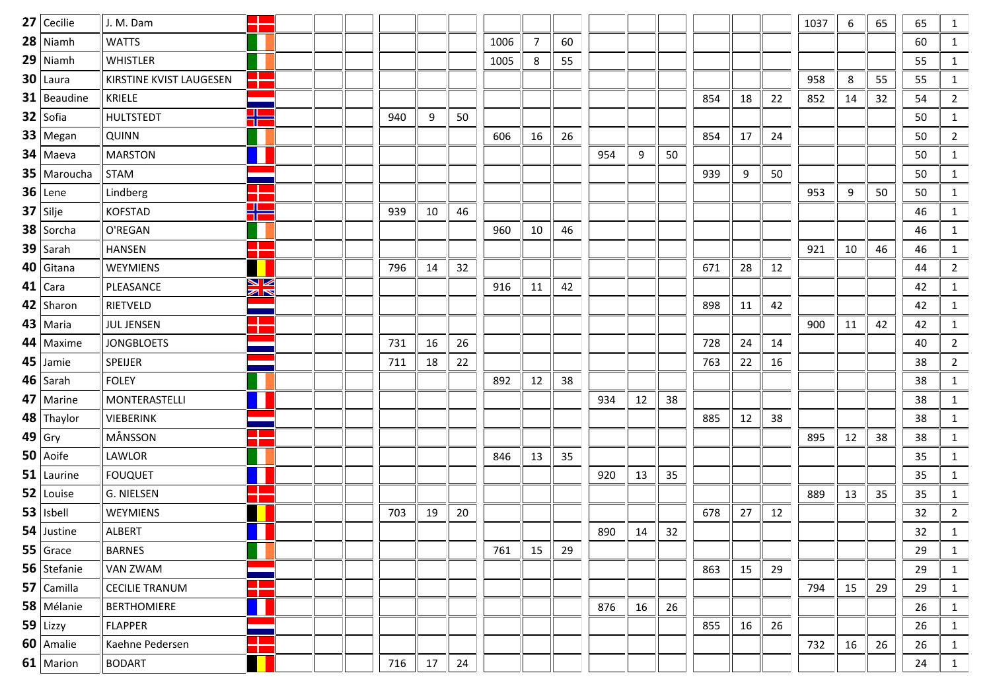|        | $27$ Cecilie    | J. M. Dam               |                       |  |     |    |    |      |                |    |     |    |    |     |    |    | 1037 | 6  | 65 | 65 | $\mathbf{1}$   |
|--------|-----------------|-------------------------|-----------------------|--|-----|----|----|------|----------------|----|-----|----|----|-----|----|----|------|----|----|----|----------------|
|        | $28$ Niamh      | <b>WATTS</b>            |                       |  |     |    |    | 1006 | $\overline{7}$ | 60 |     |    |    |     |    |    |      |    |    | 60 | $\mathbf{1}$   |
|        | $29$ Niamh      | <b>WHISTLER</b>         |                       |  |     |    |    | 1005 | 8              | 55 |     |    |    |     |    |    |      |    |    | 55 | $\mathbf{1}$   |
|        | $30$   Laura    | KIRSTINE KVIST LAUGESEN | п.<br>T               |  |     |    |    |      |                |    |     |    |    |     |    |    | 958  | 8  | 55 | 55 | 1              |
|        | $31$   Beaudine | KRIELE                  |                       |  |     |    |    |      |                |    |     |    |    | 854 | 18 | 22 | 852  | 14 | 32 | 54 | $\overline{2}$ |
|        | $32$ Sofia      | <b>HULTSTEDT</b>        | ⊕<br>T                |  | 940 | 9  | 50 |      |                |    |     |    |    |     |    |    |      |    |    | 50 | 1              |
|        | $33$   Megan    | <b>QUINN</b>            |                       |  |     |    |    | 606  | 16             | 26 |     |    |    | 854 | 17 | 24 |      |    |    | 50 | $\overline{2}$ |
|        | $34$ Maeva      | <b>MARSTON</b>          |                       |  |     |    |    |      |                |    | 954 | 9  | 50 |     |    |    |      |    |    | 50 | $\mathbf{1}$   |
|        | $35$ Maroucha   | <b>STAM</b>             |                       |  |     |    |    |      |                |    |     |    |    | 939 | 9  | 50 |      |    |    | 50 | $\mathbf{1}$   |
|        | $36$ Lene       | Lindberg                | <b>TELESCOPE</b>      |  |     |    |    |      |                |    |     |    |    |     |    |    | 953  | 9  | 50 | 50 | $\mathbf{1}$   |
|        | $37$ Silje      | <b>KOFSTAD</b>          | $\blacksquare$<br>TГ  |  | 939 | 10 | 46 |      |                |    |     |    |    |     |    |    |      |    |    | 46 | $\mathbf{1}$   |
|        | $38$ Sorcha     | O'REGAN                 |                       |  |     |    |    | 960  | 10             | 46 |     |    |    |     |    |    |      |    |    | 46 | $\mathbf{1}$   |
|        | $39$ Sarah      | <b>HANSEN</b>           | <b>. L</b><br>т       |  |     |    |    |      |                |    |     |    |    |     |    |    | 921  | 10 | 46 | 46 | 1              |
|        | $40$ Gitana     | WEYMIENS                |                       |  | 796 | 14 | 32 |      |                |    |     |    |    | 671 | 28 | 12 |      |    |    | 44 | $\overline{2}$ |
|        | $41$ Cara       | PLEASANCE               | NИ<br>$\geq$          |  |     |    |    | 916  | 11             | 42 |     |    |    |     |    |    |      |    |    | 42 | 1              |
|        | 42 Sharon       | RIETVELD                |                       |  |     |    |    |      |                |    |     |    |    | 898 | 11 | 42 |      |    |    | 42 | 1              |
|        | $43$   Maria    | <b>JUL JENSEN</b>       | $\mathcal{L}$<br>a pr |  |     |    |    |      |                |    |     |    |    |     |    |    | 900  | 11 | 42 | 42 | $\mathbf{1}$   |
|        | $44$ Maxime     | <b>JONGBLOETS</b>       |                       |  | 731 | 16 | 26 |      |                |    |     |    |    | 728 | 24 | 14 |      |    |    | 40 | $\overline{2}$ |
|        | $45$ Jamie      | <b>SPEIJER</b>          |                       |  | 711 | 18 | 22 |      |                |    |     |    |    | 763 | 22 | 16 |      |    |    | 38 | $\overline{2}$ |
|        | $46$ Sarah      | <b>FOLEY</b>            |                       |  |     |    |    | 892  | 12             | 38 |     |    |    |     |    |    |      |    |    | 38 | $\mathbf{1}$   |
|        | $47$ Marine     | MONTERASTELLI           |                       |  |     |    |    |      |                |    | 934 | 12 | 38 |     |    |    |      |    |    | 38 | $\mathbf{1}$   |
|        | $48$ Thaylor    | VIEBERINK               |                       |  |     |    |    |      |                |    |     |    |    | 885 | 12 | 38 |      |    |    | 38 | 1              |
| 49 Gry |                 | MÅNSSON                 | ¢<br>a ka             |  |     |    |    |      |                |    |     |    |    |     |    |    | 895  | 12 | 38 | 38 | $\mathbf{1}$   |
|        | $50$ Aoife      | LAWLOR                  |                       |  |     |    |    | 846  | 13             | 35 |     |    |    |     |    |    |      |    |    | 35 | 1              |
|        | $51$ Laurine    | <b>FOUQUET</b>          |                       |  |     |    |    |      |                |    | 920 | 13 | 35 |     |    |    |      |    |    | 35 | 1              |
|        | $52$   Louise   | G. NIELSEN              |                       |  |     |    |    |      |                |    |     |    |    |     |    |    | 889  | 13 | 35 | 35 | $\mathbf{1}$   |
|        | $53$   Isbell   | WEYMIENS                |                       |  | 703 | 19 | 20 |      |                |    |     |    |    | 678 | 27 | 12 |      |    |    | 32 | $\overline{2}$ |
|        | $54$ Justine    | ALBERT                  |                       |  |     |    |    |      |                |    | 890 | 14 | 32 |     |    |    |      |    |    | 32 | $\mathbf{1}$   |
|        | $55$ Grace      | <b>BARNES</b>           |                       |  |     |    |    | 761  | 15             | 29 |     |    |    |     |    |    |      |    |    | 29 | 1              |
|        | 56 Stefanie     | VAN ZWAM                |                       |  |     |    |    |      |                |    |     |    |    | 863 | 15 | 29 |      |    |    | 29 | 1              |
|        | $57$ Camilla    | <b>CECILIE TRANUM</b>   |                       |  |     |    |    |      |                |    |     |    |    |     |    |    | 794  | 15 | 29 | 29 | 1              |
|        | $58$ Mélanie    | <b>BERTHOMIERE</b>      |                       |  |     |    |    |      |                |    | 876 | 16 | 26 |     |    |    |      |    |    | 26 | 1              |
|        | $59$ Lizzy      | <b>FLAPPER</b>          |                       |  |     |    |    |      |                |    |     |    |    | 855 | 16 | 26 |      |    |    | 26 | 1              |
|        | 60   Amalie     | Kaehne Pedersen         |                       |  |     |    |    |      |                |    |     |    |    |     |    |    | 732  | 16 | 26 | 26 | 1              |
|        | $61$ Marion     | <b>BODART</b>           |                       |  | 716 | 17 | 24 |      |                |    |     |    |    |     |    |    |      |    |    | 24 | $\mathbf{1}$   |